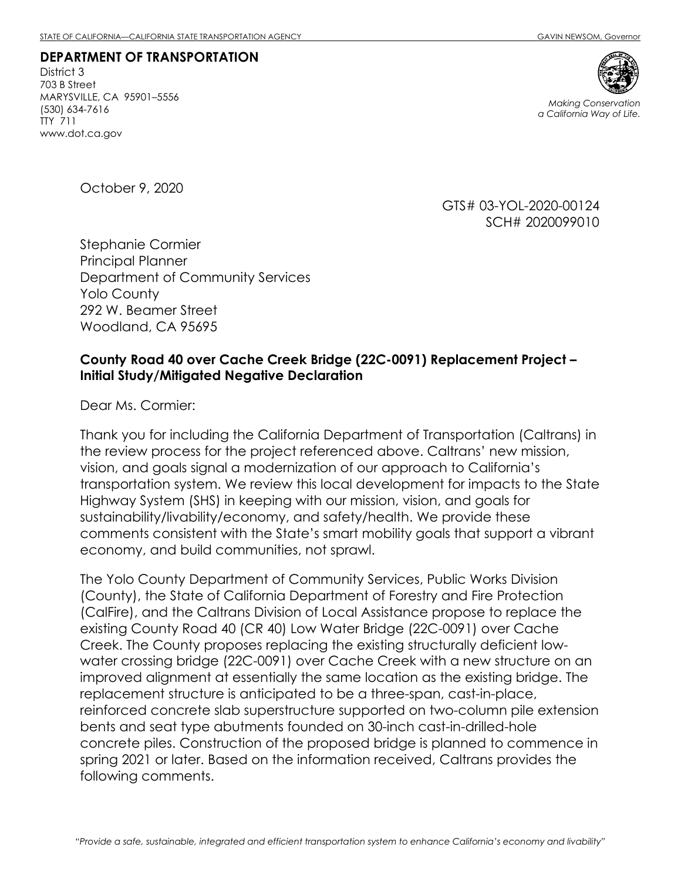**DEPARTMENT OF TRANSPORTATION** District 3 703 B Street MARYSVILLE, CA 95901–5556 (530) 634-7616 TTY 711 www.dot.ca.gov



*Making Conservation a California Way of Life.*

October 9, 2020

GTS# 03-YOL-2020-00124 SCH# 2020099010

Stephanie Cormier Principal Planner Department of Community Services Yolo County 292 W. Beamer Street Woodland, CA 95695

## **County Road 40 over Cache Creek Bridge (22C-0091) Replacement Project – Initial Study/Mitigated Negative Declaration**

Dear Ms. Cormier:

Thank you for including the California Department of Transportation (Caltrans) in the review process for the project referenced above. Caltrans' new mission, vision, and goals signal a modernization of our approach to California's transportation system. We review this local development for impacts to the State Highway System (SHS) in keeping with our mission, vision, and goals for sustainability/livability/economy, and safety/health. We provide these comments consistent with the State's smart mobility goals that support a vibrant economy, and build communities, not sprawl.

The Yolo County Department of Community Services, Public Works Division (County), the State of California Department of Forestry and Fire Protection (CalFire), and the Caltrans Division of Local Assistance propose to replace the existing County Road 40 (CR 40) Low Water Bridge (22C-0091) over Cache Creek. The County proposes replacing the existing structurally deficient lowwater crossing bridge (22C-0091) over Cache Creek with a new structure on an improved alignment at essentially the same location as the existing bridge. The replacement structure is anticipated to be a three-span, cast-in-place, reinforced concrete slab superstructure supported on two-column pile extension bents and seat type abutments founded on 30-inch cast-in-drilled-hole concrete piles. Construction of the proposed bridge is planned to commence in spring 2021 or later. Based on the information received, Caltrans provides the following comments.